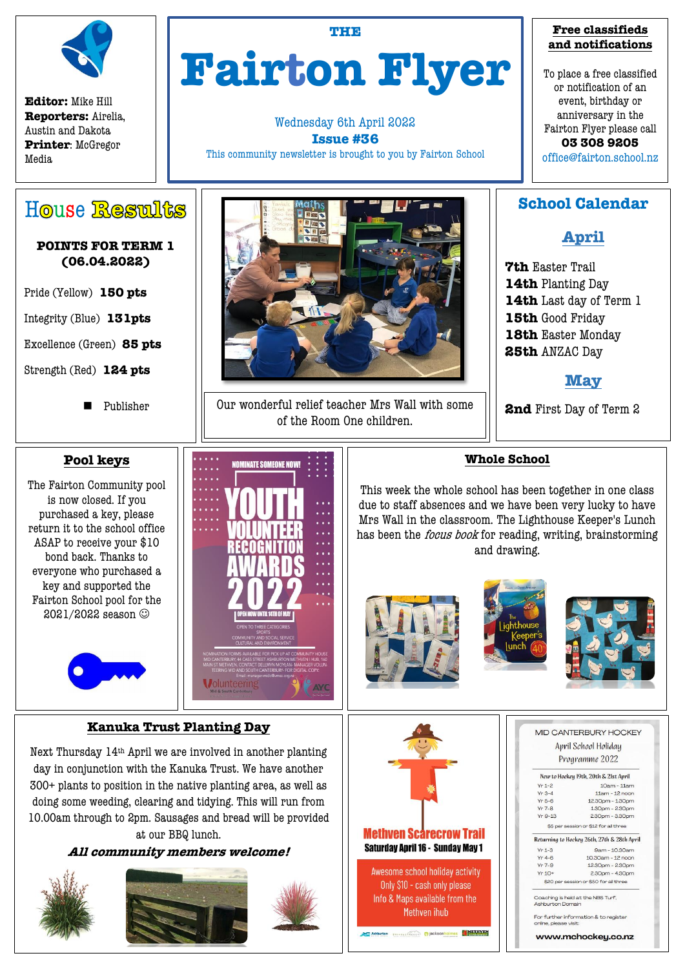

**Editor:** Mike Hill **Reporters:** Airelia, Austin and Dakota **Printer**: McGregor Media

House Results

**POINTS FOR TERM 1 (06.04.2022)**

# **THE Fairton Flyer**

Wednesday 6th April 2022 **Issue #36** This community newsletter is brought to you by Fairton School



Our wonderful relief teacher Mrs Wall with some of the Room One children.

#### **Free classifieds and notifications**

To place a free classified or notification of an event, birthday or anniversary in the Fairton Flyer please call **03 308 9205** office@fairton.school.nz

## **School Calendar**

**April**

**7th** Easter Trail **14th** Planting Day **14th** Last day of Term 1 **15th** Good Friday **18th** Easter Monday **25th** ANZAC Day

**May**

**2nd** First Day of Term 2

## **Whole School**

This week the whole school has been together in one class due to staff absences and we have been very lucky to have Mrs Wall in the classroom. The Lighthouse Keeper's Lunch has been the *focus book* for reading, writing, brainstorming and drawing.



Methven ihub









Strength (Red) **124 pts**

Publisher

## **Pool keys**

The Fairton Community pool is now closed. If you purchased a key, please return it to the school office ASAP to receive your \$10 bond back. Thanks to everyone who purchased a key and supported the Fairton School pool for the 2021/2022 season



## **Kanuka Trust Planting Day**

Next Thursday 14th April we are involved in another planting day in conjunction with the Kanuka Trust. We have another 300+ plants to position in the native planting area, as well as doing some weeding, clearing and tidying. This will run from 10.00am through to 2pm. Sausages and bread will be provided at our BBQ lunch.

#### **All community members welcome!**